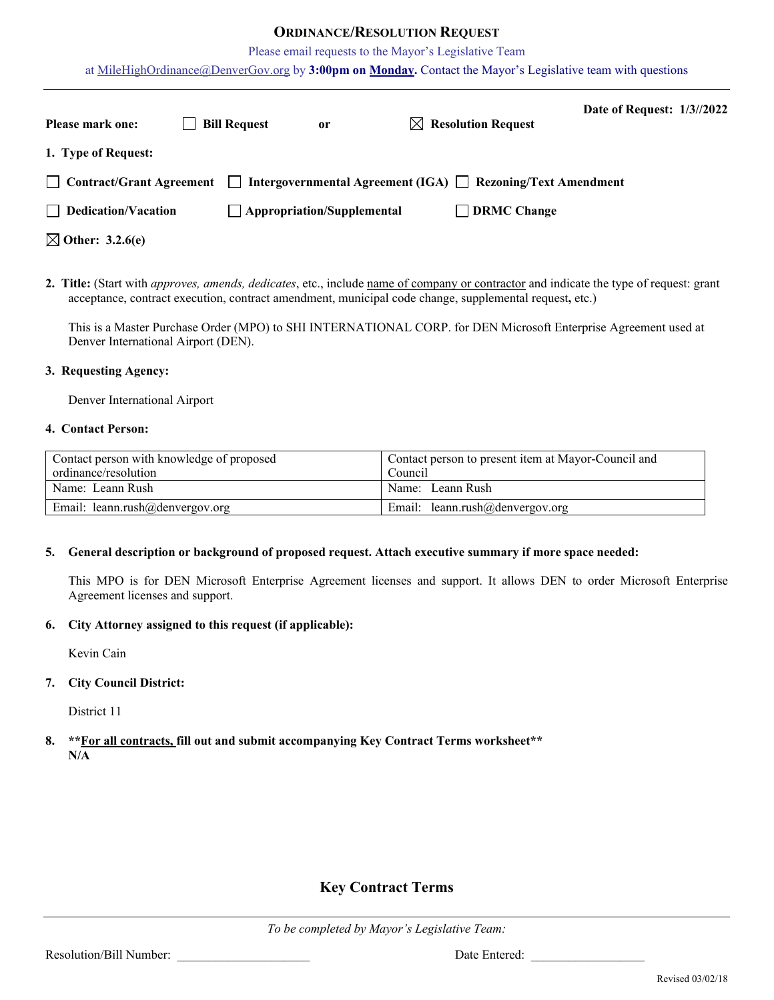## **ORDINANCE/RESOLUTION REQUEST**

Please email requests to the Mayor's Legislative Team

at [MileHighOrdinance@DenverGov.org](mailto:MileHighOrdinance@DenverGov.org) by **3:00pm on Monday.** Contact the Mayor's Legislative team with questions

| <b>Please mark one:</b>     | <b>Bill Request</b> | <sub>or</sub>                     | $\boxtimes$ Resolution Request                              | Date of Request: 1/3//2022 |  |
|-----------------------------|---------------------|-----------------------------------|-------------------------------------------------------------|----------------------------|--|
| 1. Type of Request:         |                     |                                   |                                                             |                            |  |
| Contract/Grant Agreement    | $\mathbf{1}$        |                                   | Intergovernmental Agreement (IGA) □ Rezoning/Text Amendment |                            |  |
| $\Box$ Dedication/Vacation  |                     | $\Box$ Appropriation/Supplemental | DRMC Change                                                 |                            |  |
| $\boxtimes$ Other: 3.2.6(e) |                     |                                   |                                                             |                            |  |

**2. Title:** (Start with *approves, amends, dedicates*, etc., include name of company or contractor and indicate the type of request: grant acceptance, contract execution, contract amendment, municipal code change, supplemental request**,** etc.)

This is a Master Purchase Order (MPO) to SHI INTERNATIONAL CORP. for DEN Microsoft Enterprise Agreement used at Denver International Airport (DEN).

#### **3. Requesting Agency:**

Denver International Airport

#### **4. Contact Person:**

| Contact person with knowledge of proposed | Contact person to present item at Mayor-Council and |  |  |  |
|-------------------------------------------|-----------------------------------------------------|--|--|--|
| ordinance/resolution                      | Council                                             |  |  |  |
| Name: Leann Rush                          | Name: Leann Rush                                    |  |  |  |
| Email: leann.rush@denvergov.org           | Email: leann.rush@denvergov.org                     |  |  |  |

#### **5. General description or background of proposed request. Attach executive summary if more space needed:**

This MPO is for DEN Microsoft Enterprise Agreement licenses and support. It allows DEN to order Microsoft Enterprise Agreement licenses and support.

#### **6. City Attorney assigned to this request (if applicable):**

Kevin Cain

### **7. City Council District:**

District 11

**8. \*\*For all contracts, fill out and submit accompanying Key Contract Terms worksheet\*\* N/A**

# **Key Contract Terms**